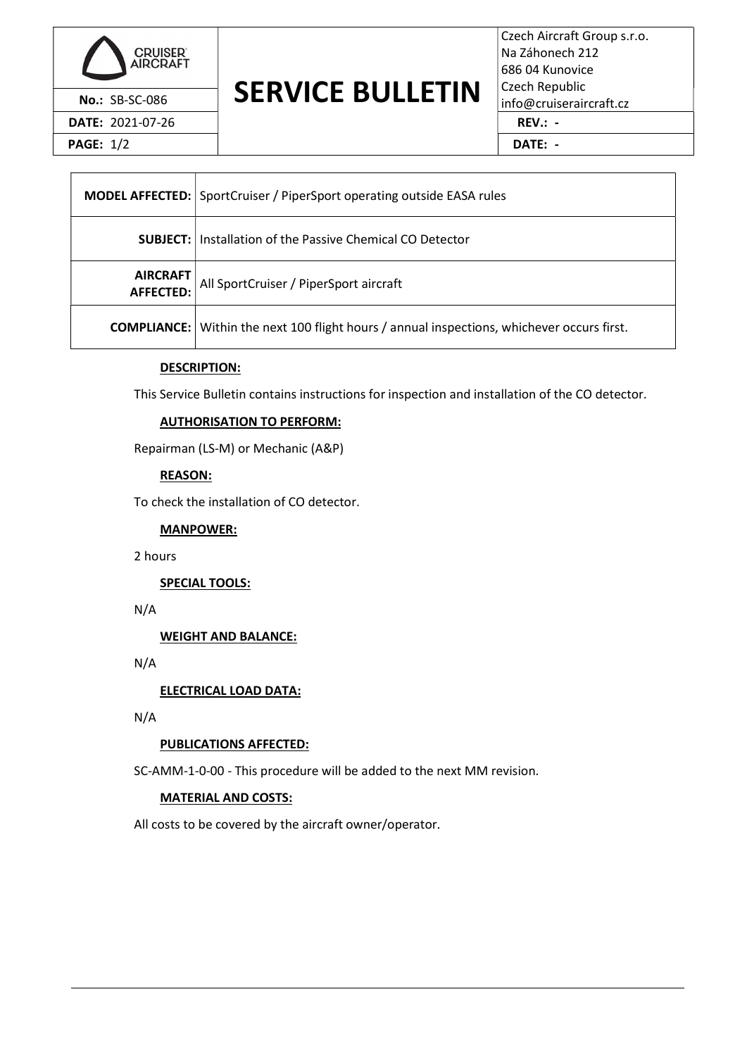

DATE: 2021-07-26 REV.: -

PAGE: 1/2 **DATE: -**

# No.: SB-SC-086 **SERVICE BULLETIN** Czech Republic info@cruiseraircraft.cz

Czech Aircraft Group s.r.o. Na Záhonech 212 686 04 Kunovice Czech Republic

|                         | <b>MODEL AFFECTED: SportCruiser / PiperSport operating outside EASA rules</b>                     |  |
|-------------------------|---------------------------------------------------------------------------------------------------|--|
|                         | <b>SUBJECT:</b> Installation of the Passive Chemical CO Detector                                  |  |
| AIRCRAFT<br>  AFFECTED: | All SportCruiser / PiperSport aircraft                                                            |  |
|                         | <b>COMPLIANCE:</b> Within the next 100 flight hours / annual inspections, whichever occurs first. |  |

### DESCRIPTION:

This Service Bulletin contains instructions for inspection and installation of the CO detector.

### AUTHORISATION TO PERFORM:

Repairman (LS-M) or Mechanic (A&P)

#### REASON:

To check the installation of CO detector.

MANPOWER:

2 hours

SPECIAL TOOLS:

N/A

WEIGHT AND BALANCE:

N/A

ELECTRICAL LOAD DATA:

N/A

### PUBLICATIONS AFFECTED:

SC-AMM-1-0-00 - This procedure will be added to the next MM revision.

### MATERIAL AND COSTS:

All costs to be covered by the aircraft owner/operator.